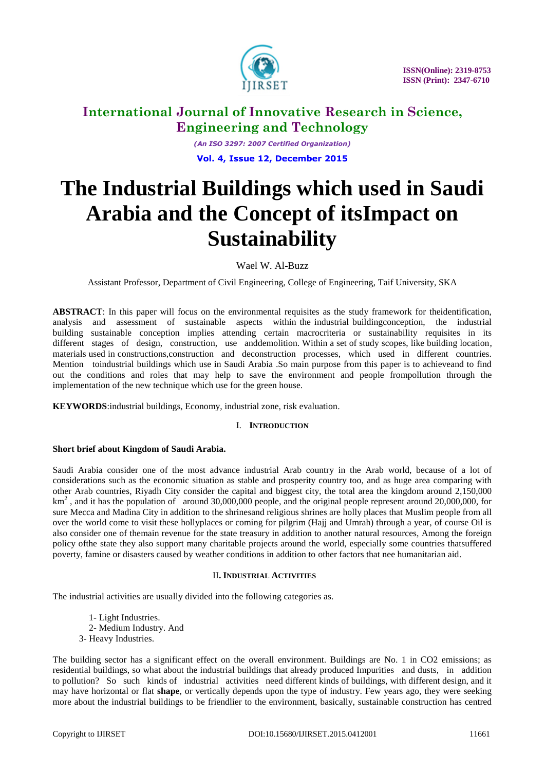

*(An ISO 3297: 2007 Certified Organization)* **Vol. 4, Issue 12, December 2015**

# **The Industrial Buildings which used in Saudi Arabia and the Concept of itsImpact on Sustainability**

Wael W. Al-Buzz

Assistant Professor, Department of Civil Engineering, College of Engineering, Taif University, SKA

**ABSTRACT**: In this paper will focus on the environmental requisites as the study framework for theidentification, analysis and assessment of sustainable aspects within the industrial buildingconception, the industrial building sustainable conception implies attending certain macrocriteria or sustainability requisites in its different stages of design, construction, use anddemolition. Within a set of study scopes, like building location, materials used in constructions,construction and deconstruction processes, which used in different countries. Mention toindustrial buildings which use in Saudi Arabia .So main purpose from this paper is to achieveand to find out the conditions and roles that may help to save the environment and people frompollution through the implementation of the new technique which use for the green house.

**KEYWORDS**:industrial buildings, Economy, industrial zone, risk evaluation.

# I. **INTRODUCTION**

## **Short brief about Kingdom of Saudi Arabia.**

Saudi Arabia consider one of the most advance industrial Arab country in the Arab world, because of a lot of considerations such as the economic situation as stable and prosperity country too, and as huge area comparing with other Arab countries, Riyadh City consider the capital and biggest city, the total area the kingdom around 2,150,000  $km<sup>2</sup>$ , and it has the population of around 30,000,000 people, and the original people represent around 20,000,000, for sure Mecca and Madina City in addition to the shrinesand religious shrines are holly places that Muslim people from all over the world come to visit these hollyplaces or coming for pilgrim (Hajj and Umrah) through a year, of course Oil is also consider one of themain revenue for the state treasury in addition to another natural resources, Among the foreign policy ofthe state they also support many charitable projects around the world, especially some countries thatsuffered poverty, famine or disasters caused by weather conditions in addition to other factors that nee humanitarian aid.

## II**. INDUSTRIAL ACTIVITIES**

The industrial activities are usually divided into the following categories as.

1- Light Industries. 2- Medium Industry. And 3- Heavy Industries.

The building sector has a significant effect on the overall environment. Buildings are No. 1 in CO2 emissions; as residential buildings, so what about the industrial buildings that already produced Impurities and dusts, in addition to pollution? So such kinds of industrial activities need different kinds of buildings, with different design, and it may have horizontal or flat **shape**, or vertically depends upon the type of industry. Few years ago, they were seeking more about the industrial buildings to be friendlier to the environment, basically, sustainable construction has centred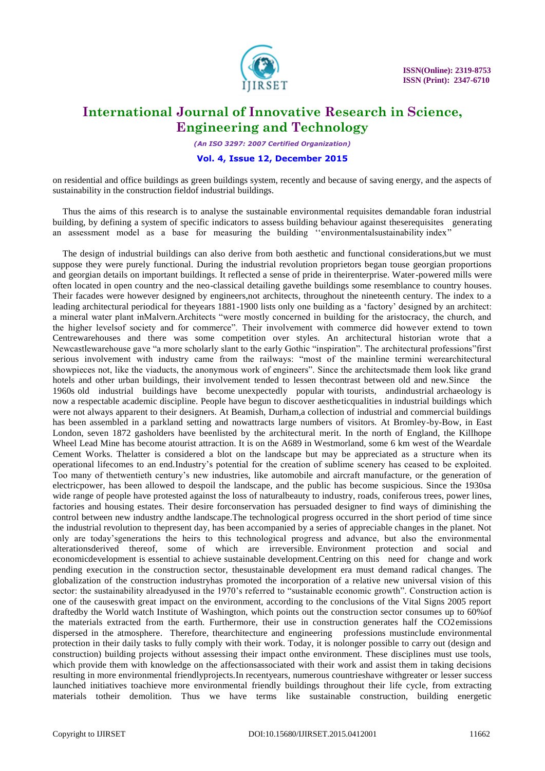

*(An ISO 3297: 2007 Certified Organization)*

### **Vol. 4, Issue 12, December 2015**

on residential and office buildings as green buildings system, recently and because of saving energy, and the aspects of sustainability in the construction fieldof industrial buildings.

Thus the aims of this research is to analyse the sustainable environmental requisites demandable foran industrial building, by defining a system of specific indicators to assess building behaviour against theserequisites generating an assessment model as a base for measuring the building "environmentalsustainability index"

The design of industrial buildings can also derive from both aesthetic and functional considerations,but we must suppose they were purely functional. During the industrial revolution proprietors began touse georgian proportions and georgian details on important buildings. It reflected a sense of pride in theirenterprise. Water-powered mills were often located in open country and the neo-classical detailing gavethe buildings some resemblance to country houses. Their facades were however designed by engineers,not architects, throughout the nineteenth century. The index to a leading architectural periodical for theyears 1881-1900 lists only one building as a "factory" designed by an architect: a mineral water plant inMalvern.Architects "were mostly concerned in building for the aristocracy, the church, and the higher levelsof society and for commerce". Their involvement with commerce did however extend to town Centrewarehouses and there was some competition over styles. An architectural historian wrote that a Newcastlewarehouse gave "a more scholarly slant to the early Gothic "inspiration". The architectural professions"first serious involvement with industry came from the railways: "most of the mainline termini werearchitectural showpieces not, like the viaducts, the anonymous work of engineers". Since the architectsmade them look like grand hotels and other urban buildings, their involvement tended to lessen thecontrast between old and new.Since the 1960s old industrial buildings have become unexpectedly popular with tourists, andindustrial archaeology is now a respectable academic discipline. People have begun to discover aestheticqualities in industrial buildings which were not always apparent to their designers. At Beamish, Durham,a collection of industrial and commercial buildings has been assembled in a parkland setting and nowattracts large numbers of visitors. At Bromley-by-Bow, in East London, seven 1872 gasholders have beenlisted by the architectural merit. In the north of England, the Killhope Wheel Lead Mine has become atourist attraction. It is on the A689 in Westmorland, some 6 km west of the Weardale Cement Works. Thelatter is considered a blot on the landscape but may be appreciated as a structure when its operational lifecomes to an end.Industry"s potential for the creation of sublime scenery has ceased to be exploited. Too many of thetwentieth century"s new industries, like automobile and aircraft manufacture, or the generation of electricpower, has been allowed to despoil the landscape, and the public has become suspicious. Since the 1930sa wide range of people have protested against the loss of naturalbeauty to industry, roads, coniferous trees, power lines, factories and housing estates. Their desire forconservation has persuaded designer to find ways of diminishing the control between new industry andthe landscape.The technological progress occurred in the short period of time since the industrial revolution to thepresent day, has been accompanied by a series of appreciable changes in the planet. Not only are today"sgenerations the heirs to this technological progress and advance, but also the environmental alterationsderived thereof, some of which are irreversible. Environment protection and social and economicdevelopment is essential to achieve sustainable development.Centring on this need for change and work pending execution in the construction sector, thesustainable development era must demand radical changes. The globalization of the construction industryhas promoted the incorporation of a relative new universal vision of this sector: the sustainability alreadyused in the 1970's referred to "sustainable economic growth". Construction action is one of the causeswith great impact on the environment, according to the conclusions of the Vital Signs 2005 report draftedby the World watch Institute of Washington, which points out the construction sector consumes up to 60%of the materials extracted from the earth. Furthermore, their use in construction generates half the CO2emissions dispersed in the atmosphere. Therefore, thearchitecture and engineering professions mustinclude environmental protection in their daily tasks to fully comply with their work. Today, it is nolonger possible to carry out (design and construction) building projects without assessing their impact onthe environment. These disciplines must use tools, which provide them with knowledge on the affectionsassociated with their work and assist them in taking decisions resulting in more environmental friendlyprojects.In recentyears, numerous countrieshave withgreater or lesser success launched initiatives toachieve more environmental friendly buildings throughout their life cycle, from extracting materials totheir demolition. Thus we have terms like sustainable construction, building energetic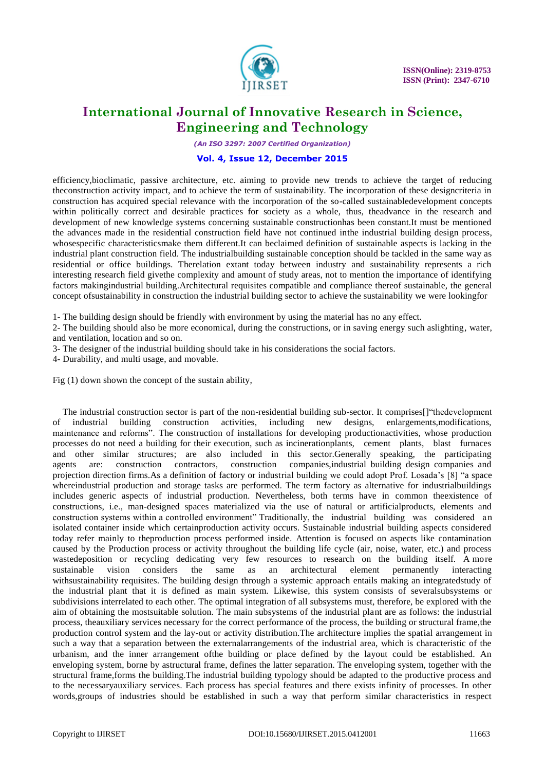

*(An ISO 3297: 2007 Certified Organization)*

## **Vol. 4, Issue 12, December 2015**

efficiency,bioclimatic, passive architecture, etc. aiming to provide new trends to achieve the target of reducing theconstruction activity impact, and to achieve the term of sustainability. The incorporation of these designcriteria in construction has acquired special relevance with the incorporation of the so-called sustainabledevelopment concepts within politically correct and desirable practices for society as a whole, thus, theadvance in the research and development of new knowledge systems concerning sustainable constructionhas been constant.It must be mentioned the advances made in the residential construction field have not continued inthe industrial building design process, whosespecific characteristicsmake them different.It can beclaimed definition of sustainable aspects is lacking in the industrial plant construction field. The industrialbuilding sustainable conception should be tackled in the same way as residential or office buildings. Therelation extant today between industry and sustainability represents a rich interesting research field givethe complexity and amount of study areas, not to mention the importance of identifying factors makingindustrial building.Architectural requisites compatible and compliance thereof sustainable, the general concept ofsustainability in construction the industrial building sector to achieve the sustainability we were lookingfor

1- The building design should be friendly with environment by using the material has no any effect.

2- The building should also be more economical, during the constructions, or in saving energy such aslighting, water, and ventilation, location and so on.

3- The designer of the industrial building should take in his considerations the social factors.

4- Durability, and multi usage, and movable.

Fig (1) down shown the concept of the sustain ability,

The industrial construction sector is part of the non-residential building sub-sector. It comprises[]"thedevelopment of industrial building construction activities, including new designs, enlargements,modifications, maintenance and reforms". The construction of installations for developing productionactivities, whose production processes do not need a building for their execution, such as incinerationplants, cement plants, blast furnaces and other similar structures; are also included in this sector.Generally speaking, the participating agents are: construction contractors, construction companies,industrial building design companies and projection direction firms.As a definition of factory or industrial building we could adopt Prof. Losada"s [8] "a space whereindustrial production and storage tasks are performed. The term factory as alternative for industrialbuildings includes generic aspects of industrial production. Nevertheless, both terms have in common theexistence of constructions, i.e., man-designed spaces materialized via the use of natural or artificialproducts, elements and construction systems within a controlled environment" Traditionally, the industrial building was considered an isolated container inside which certainproduction activity occurs. Sustainable industrial building aspects considered today refer mainly to theproduction process performed inside. Attention is focused on aspects like contamination caused by the Production process or activity throughout the building life cycle (air, noise, water, etc.) and process wastedeposition or recycling dedicating very few resources to research on the building itself. A more sustainable vision considers the same as an architectural element permanently interacting withsustainability requisites. The building design through a systemic approach entails making an integratedstudy of the industrial plant that it is defined as main system. Likewise, this system consists of severalsubsystems or subdivisions interrelated to each other. The optimal integration of all subsystems must, therefore, be explored with the aim of obtaining the mostsuitable solution. The main subsystems of the industrial plant are as follows: the industrial process, theauxiliary services necessary for the correct performance of the process, the building or structural frame,the production control system and the lay-out or activity distribution.The architecture implies the spatial arrangement in such a way that a separation between the externalarrangements of the industrial area, which is characteristic of the urbanism, and the inner arrangement ofthe building or place defined by the layout could be established. An enveloping system, borne by astructural frame, defines the latter separation. The enveloping system, together with the structural frame,forms the building.The industrial building typology should be adapted to the productive process and to the necessaryauxiliary services. Each process has special features and there exists infinity of processes. In other words,groups of industries should be established in such a way that perform similar characteristics in respect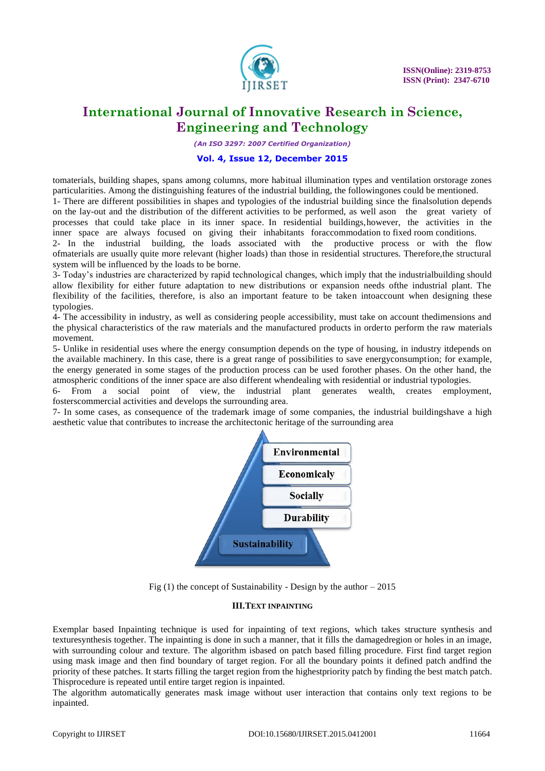

*(An ISO 3297: 2007 Certified Organization)*

### **Vol. 4, Issue 12, December 2015**

tomaterials, building shapes, spans among columns, more habitual illumination types and ventilation orstorage zones particularities. Among the distinguishing features of the industrial building, the followingones could be mentioned. 1- There are different possibilities in shapes and typologies of the industrial building since the finalsolution depends

on the lay-out and the distribution of the different activities to be performed, as well ason the great variety of processes that could take place in its inner space. In residential buildings,however, the activities in the inner space are always focused on giving their inhabitants foraccommodation to fixed room conditions.

2- In the industrial building, the loads associated with the productive process or with the flow ofmaterials are usually quite more relevant (higher loads) than those in residential structures. Therefore,the structural system will be influenced by the loads to be borne.

3- Today"s industries are characterized by rapid technological changes, which imply that the industrialbuilding should allow flexibility for either future adaptation to new distributions or expansion needs ofthe industrial plant. The flexibility of the facilities, therefore, is also an important feature to be taken intoaccount when designing these typologies.

4- The accessibility in industry, as well as considering people accessibility, must take on account thedimensions and the physical characteristics of the raw materials and the manufactured products in orderto perform the raw materials movement.

5- Unlike in residential uses where the energy consumption depends on the type of housing, in industry itdepends on the available machinery. In this case, there is a great range of possibilities to save energyconsumption; for example, the energy generated in some stages of the production process can be used forother phases. On the other hand, the atmospheric conditions of the inner space are also different whendealing with residential or industrial typologies.

6- From a social point of view, the industrial plant generates wealth, creates employment, fosterscommercial activities and develops the surrounding area.

7- In some cases, as consequence of the trademark image of some companies, the industrial buildingshave a high aesthetic value that contributes to increase the architectonic heritage of the surrounding area



Fig  $(1)$  the concept of Sustainability - Design by the author  $-2015$ 

### **III.TEXT INPAINTING**

Exemplar based Inpainting technique is used for inpainting of text regions, which takes structure synthesis and texturesynthesis together. The inpainting is done in such a manner, that it fills the damagedregion or holes in an image, with surrounding colour and texture. The algorithm isbased on patch based filling procedure. First find target region using mask image and then find boundary of target region. For all the boundary points it defined patch andfind the priority of these patches. It starts filling the target region from the highestpriority patch by finding the best match patch. Thisprocedure is repeated until entire target region is inpainted.

The algorithm automatically generates mask image without user interaction that contains only text regions to be inpainted.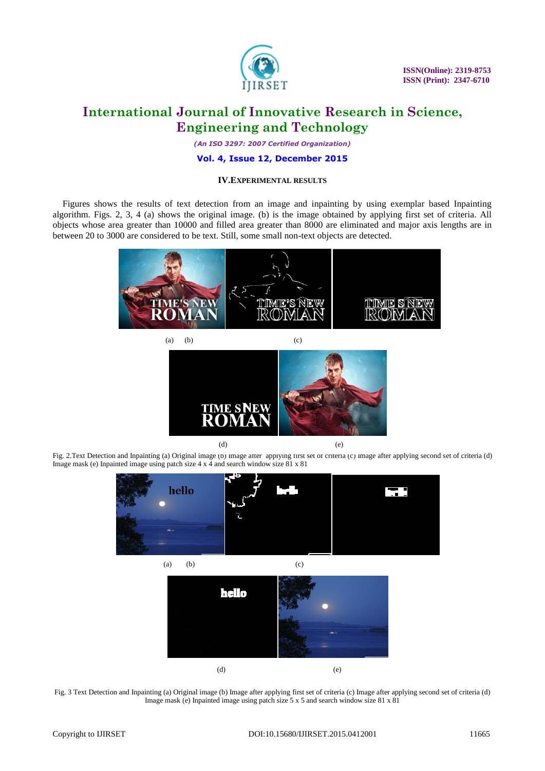

*(An ISO 3297: 2007 Certified Organization)*

## **Vol. 4, Issue 12, December 2015**

### **IV.EXPERIMENTAL RESULTS**

Figures shows the results of text detection from an image and inpainting by using exemplar based Inpainting algorithm. Figs. 2, 3, 4 (a) shows the original image. (b) is the image obtained by applying first set of criteria. All objects whose area greater than 10000 and filled area greater than 8000 are eliminated and major axis lengths are in between 20 to 3000 are considered to be text. Still, some small non-text objects are detected.





Fig. 2.Text Detection and Inpainting (a) Original image (b) Image after applying first set of criteria (c) Image after applying second set of criteria (d) Image mask (e) Inpainted image using patch size 4 x 4 and search window size 81 x 81



Fig. 3 Text Detection and Inpainting (a) Original image (b) Image after applying first set of criteria (c) Image after applying second set of criteria (d) Image mask (e) Inpainted image using patch size 5 x 5 and search window size 81 x 81

(d) (e)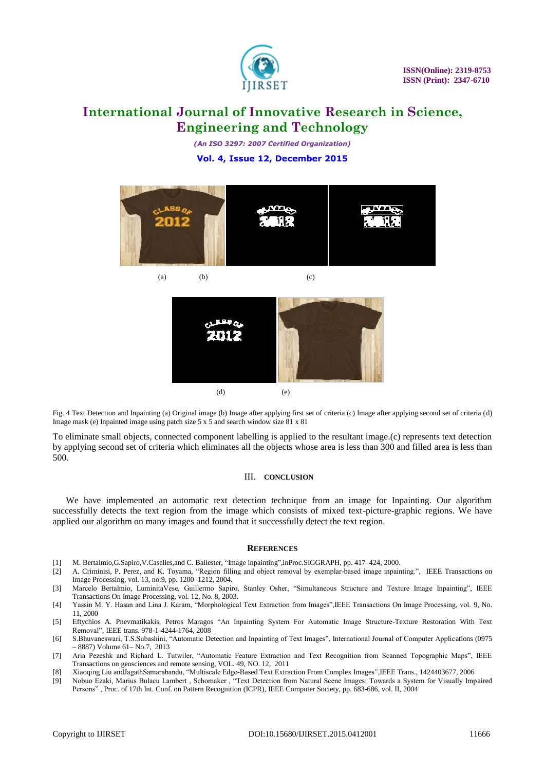

*(An ISO 3297: 2007 Certified Organization)* **Vol. 4, Issue 12, December 2015**



Fig. 4 Text Detection and Inpainting (a) Original image (b) Image after applying first set of criteria (c) Image after applying second set of criteria (d) Image mask (e) Inpainted image using patch size 5 x 5 and search window size 81 x 81

(d) (e)

To eliminate small objects, connected component labelling is applied to the resultant image.(c) represents text detection by applying second set of criteria which eliminates all the objects whose area is less than 300 and filled area is less than 500.

#### III. **CONCLUSION**

We have implemented an automatic text detection technique from an image for Inpainting. Our algorithm successfully detects the text region from the image which consists of mixed text-picture-graphic regions. We have applied our algorithm on many images and found that it successfully detect the text region.

#### **REFERENCES**

- [1] M. Bertalmio,G.Sapiro,V.Caselles,and C. Ballester, "Image inpainting",inProc.SIGGRAPH, pp. 417–424, 2000.
- [2] A. Criminisi, P. Perez, and K. Toyama, "Region filling and object removal by exemplar-based image inpainting.", IEEE Transactions on Image Processing, vol. 13, no.9, pp. 1200–1212, 2004.
- [3] Marcelo Bertalmio, LuminitaVese, Guillermo Sapiro, Stanley Osher, "Simultaneous Structure and Texture Image Inpainting", IEEE Transactions On Image Processing, vol. 12, No. 8, 2003.
- [4] Yassin M. Y. Hasan and Lina J. Karam, "Morphological Text Extraction from Images",IEEE Transactions On Image Processing, vol. 9, No. 11, 2000
- [5] Eftychios A. Pnevmatikakis, Petros Maragos "An Inpainting System For Automatic Image Structure-Texture Restoration With Text Removal", IEEE trans. 978-1-4244-1764, 2008
- [6] S.Bhuvaneswari, T.S.Subashini, "Automatic Detection and Inpainting of Text Images", International Journal of Computer Applications (0975 – 8887) Volume 61– No.7, 2013
- [7] Aria Pezeshk and Richard L. Tutwiler, "Automatic Feature Extraction and Text Recognition from Scanned Topographic Maps", IEEE Transactions on geosciences and remote sensing, VOL. 49, NO. 12, 2011
- [8] Xiaoqing Liu andJagathSamarabandu, "Multiscale Edge-Based Text Extraction From Complex Images",IEEE Trans., 1424403677, 2006
- [9] Nobuo Ezaki, Marius Bulacu Lambert , Schomaker , "Text Detection from Natural Scene Images: Towards a System for Visually Impaired Persons" , Proc. of 17th Int. Conf. on Pattern Recognition (ICPR), IEEE Computer Society, pp. 683-686, vol. II, 2004